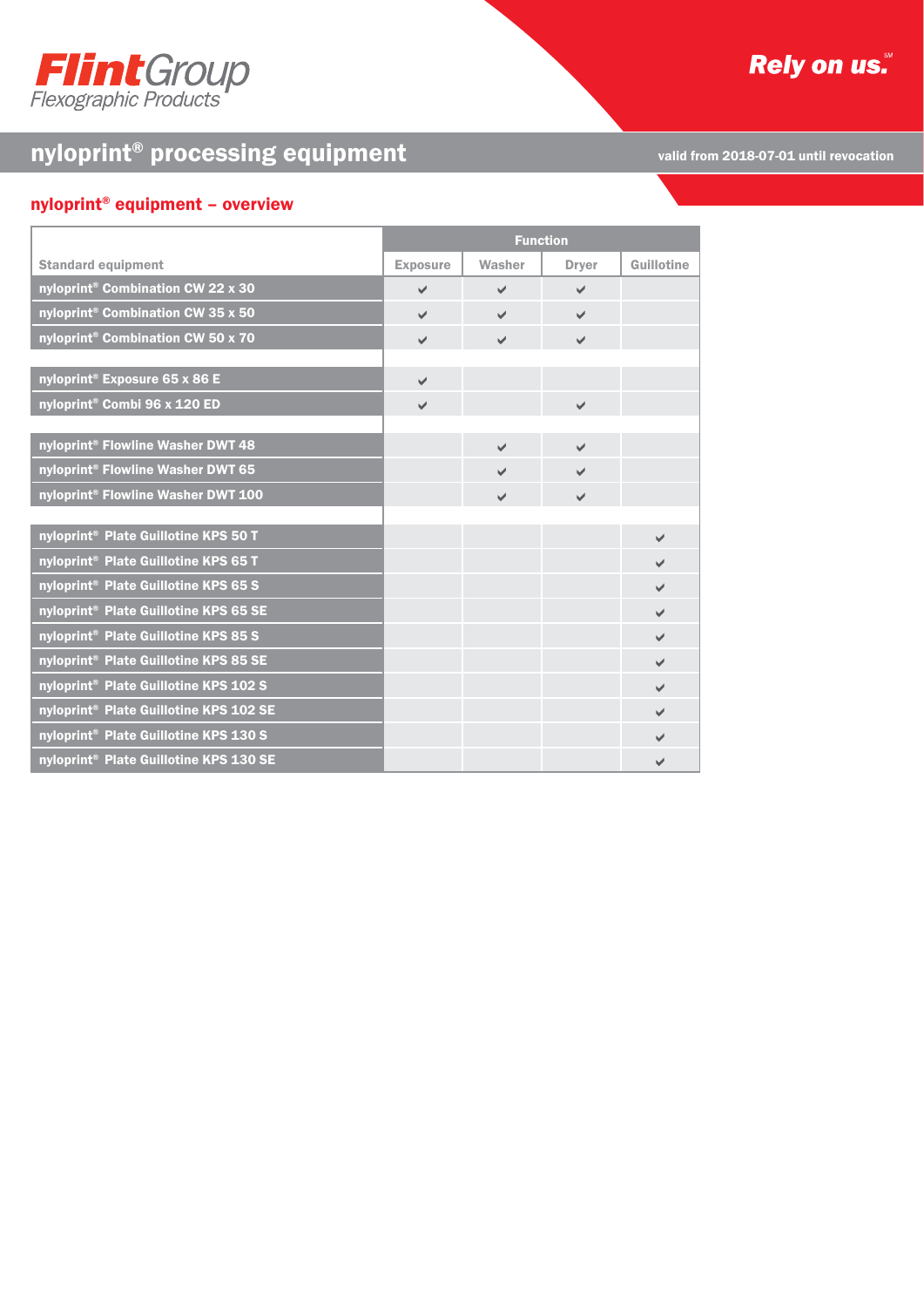

# **Rely on us.**

# nyloprint® processing equipment

valid from 2018-07-01 until revocation

# nyloprint® equipment – overview

|                                                    | <b>Function</b> |              |                          |            |
|----------------------------------------------------|-----------------|--------------|--------------------------|------------|
| <b>Standard equipment</b>                          | <b>Exposure</b> | Washer       | <b>Dryer</b>             | Guillotine |
| nyloprint <sup>®</sup> Combination CW 22 x 30      | $\checkmark$    | ✓            | $\checkmark$             |            |
| nyloprint <sup>®</sup> Combination CW 35 x 50      | $\checkmark$    | $\checkmark$ | $\checkmark$             |            |
| nyloprint <sup>®</sup> Combination CW 50 x 70      | $\checkmark$    | $\checkmark$ | $\checkmark$             |            |
|                                                    |                 |              |                          |            |
| nyloprint® Exposure 65 x 86 E                      | $\checkmark$    |              |                          |            |
| nyloprint <sup>®</sup> Combi 96 x 120 ED           | $\checkmark$    |              | $\checkmark$             |            |
|                                                    |                 |              |                          |            |
| nyloprint® Flowline Washer DWT 48                  |                 | ✓            | $\overline{\mathscr{L}}$ |            |
| nyloprint® Flowline Washer DWT 65                  |                 | ✓            | $\overline{\mathscr{L}}$ |            |
| nyloprint® Flowline Washer DWT 100                 |                 | $\checkmark$ | $\checkmark$             |            |
|                                                    |                 |              |                          |            |
| nyloprint <sup>®</sup> Plate Guillotine KPS 50 T   |                 |              |                          |            |
| nyloprint <sup>®</sup> Plate Guillotine KPS 65 T   |                 |              |                          | ✔          |
| nyloprint® Plate Guillotine KPS 65 S               |                 |              |                          | ✓          |
| nyloprint® Plate Guillotine KPS 65 SE              |                 |              |                          | ✔          |
| nyloprint <sup>®</sup> Plate Guillotine KPS 85 S   |                 |              |                          | ✓          |
| nyloprint® Plate Guillotine KPS 85 SE              |                 |              |                          | ✓          |
| nyloprint <sup>®</sup> Plate Guillotine KPS 102 S  |                 |              |                          | V          |
| nyloprint <sup>®</sup> Plate Guillotine KPS 102 SE |                 |              |                          | ✔          |
| nyloprint <sup>®</sup> Plate Guillotine KPS 130 S  |                 |              |                          |            |
| nyloprint <sup>®</sup> Plate Guillotine KPS 130 SE |                 |              |                          | ✔          |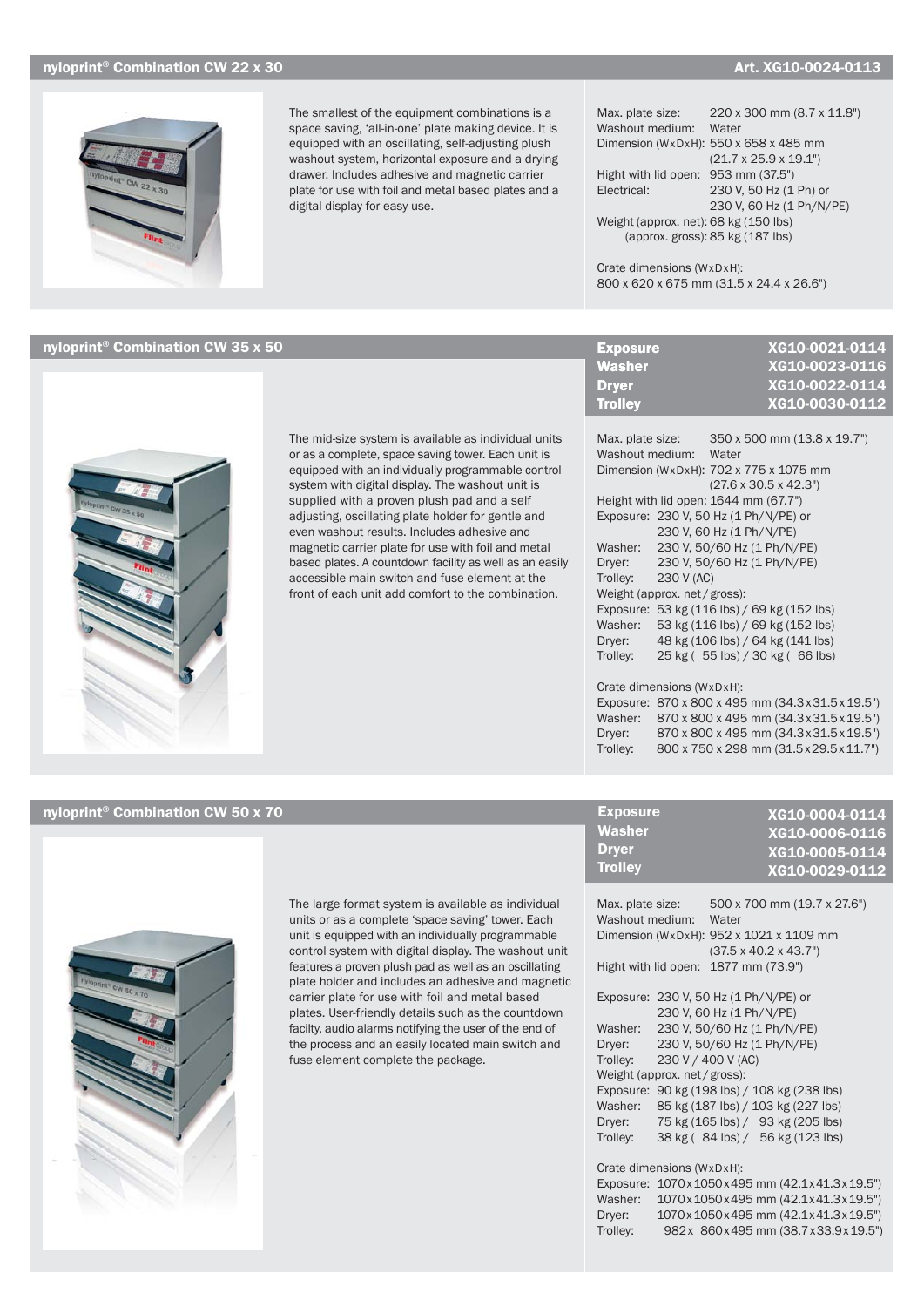## nyloprint® Combination CW 22 x 30  $A$ rt. XG10-0024-0113

XG10-0023-0116 XG10-0022-0114



The smallest of the equipment combinations is a space saving, 'all-in-one' plate making device. It is equipped with an oscillating, self-adjusting plush washout system, horizontal exposure and a drying drawer. Includes adhesive and magnetic carrier plate for use with foil and metal based plates and a digital display for easy use.

Max. plate size: 220 x 300 mm (8.7 x 11.8") Washout medium: Water Dimension (WxDxH):  $550 \times 658 \times 485$  mm (21.7 x 25.9 x 19.1") Hight with lid open: 953 mm (37.5") Electrical: 230 V, 50 Hz (1 Ph) or 230 V, 60 Hz (1 Ph/N/PE) Weight (approx. net): 68 kg (150 lbs) (approx. gross): 85 kg (187 lbs)

Crate dimensions (WxDxH): 800 x 620 x 675 mm (31.5 x 24.4 x 26.6")

# $n$ yloprint® Combination CW 35 x 50  $n$  XG10-0021-0114



The mid-size system is available as individual units or as a complete, space saving tower. Each unit is equipped with an individually programmable control system with digital display. The washout unit is supplied with a proven plush pad and a self adjusting, oscillating plate holder for gentle and even washout results. Includes adhesive and magnetic carrier plate for use with foil and metal based plates. A countdown facility as well as an easily accessible main switch and fuse element at the front of each unit add comfort to the combination.

| <b>Trolley</b>                        | XG10-0030-0112                           |
|---------------------------------------|------------------------------------------|
|                                       |                                          |
| Max. plate size:                      | 350 x 500 mm (13.8 x 19.7")              |
| Washout medium:                       | Water                                    |
|                                       | Dimension (WxDxH): 702 x 775 x 1075 mm   |
|                                       | $(27.6 \times 30.5 \times 42.3^{\circ})$ |
| Height with lid open: 1644 mm (67.7") |                                          |
| Exposure: 230 V, 50 Hz (1 Ph/N/PE) or |                                          |
|                                       | 230 V, 60 Hz (1 Ph/N/PE)                 |

Washer: 230 V, 50/60 Hz (1 Ph/N/PE) Dryer: 230 V, 50/60 Hz (1 Ph/N/PE) Trolley: 230 V (AC) Weight (approx. net/gross): Exposure: 53 kg (116 lbs) / 69 kg (152 lbs) Washer: 53 kg (116 lbs) / 69 kg (152 lbs) Dryer: 48 kg (106 lbs) / 64 kg (141 lbs) Trolley: 25 kg ( 55 lbs) / 30 kg ( 66 lbs)

### Crate dimensions (WxDxH):

Exposure Washer Dryer **Trolley** 

Exposure: 870 x 800 x 495 mm (34.3 x 31.5 x 19.5") Washer: 870 x 800 x 495 mm (34.3 x 31.5 x 19.5") Dryer: 870 x 800 x 495 mm (34.3 x 31.5 x 19.5") Trolley: 800 x 750 x 298 mm (31.5 x 29.5 x 11.7")

# nyloprint<sup>®</sup> Combination CW 50 x 70



The large format system is available as individual units or as a complete 'space saving' tower. Each unit is equipped with an individually programmable control system with digital display. The washout unit features a proven plush pad as well as an oscillating plate holder and includes an adhesive and magnetic carrier plate for use with foil and metal based plates. User-friendly details such as the countdown facilty, audio alarms notifying the user of the end of the process and an easily located main switch and fuse element complete the package.

| <b>Exposure</b> | XG10-0004-0114 |
|-----------------|----------------|
| Washer          | XG10-0006-0116 |
| <b>Dryer</b>    | XG10-0005-0114 |
| <b>Trolley</b>  | XG10-0029-0112 |

| Max. plate size:                     |  | 500 x 700 mm (19.7 x 27.6")              |  |
|--------------------------------------|--|------------------------------------------|--|
| Washout medium:                      |  | Water                                    |  |
|                                      |  | Dimension (WxDxH): 952 x 1021 x 1109 mm  |  |
|                                      |  | $(37.5 \times 40.2 \times 43.7^{\circ})$ |  |
| Hight with lid open: 1877 mm (73.9") |  |                                          |  |
|                                      |  |                                          |  |
|                                      |  | Exposure: 230 V, 50 Hz (1 Ph/N/PE) or    |  |
|                                      |  | 230 V, 60 Hz (1 Ph/N/PE)                 |  |
| Washer:                              |  | 230 V, 50/60 Hz (1 Ph/N/PE)              |  |
| Dryer:                               |  | 230 V, 50/60 Hz (1 Ph/N/PE)              |  |
| Trolley:                             |  | 230 V / 400 V (AC)                       |  |

Weight (approx. net / gross): Exposure: 90 kg (198 lbs) / 108 kg (238 lbs) Washer: 85 kg (187 lbs) / 103 kg (227 lbs) Dryer: 75 kg (165 lbs) / 93 kg (205 lbs) Trolley: 38 kg ( 84 lbs) / 56 kg (123 lbs)

### Crate dimensions (WxDxH):

Exposure: 1070 x 1050 x 495 mm (42.1 x 41.3 x 19.5") Washer: 1070x 1050x 495 mm (42.1x 41.3x 19.5") Dryer: 1070 x 1050 x 495 mm (42.1 x 41.3 x 19.5") Trolley: 982x 860x495 mm (38.7x33.9x19.5")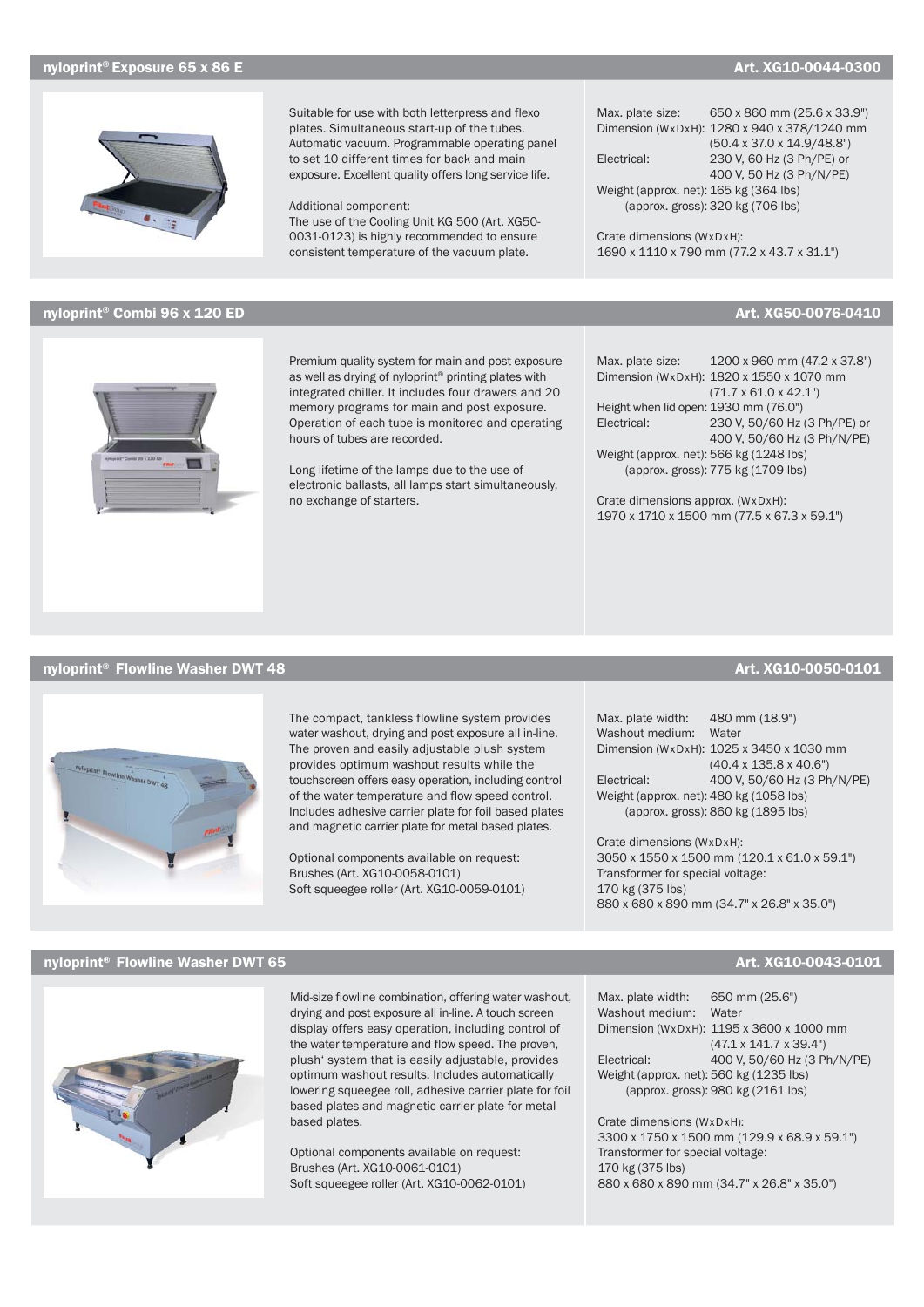## nyloprint® Exposure 65 x 86 E Art. XG10-0044-0300 Art. XG10-0044-0300



# nyloprint® Combi 96 x 120 ED Art. XG50-0076-0410

## nyloprint® Flowline Washer DWT 48 Art. XG10-0050-0101

The compact, tankless flowline system provides water washout, drying and post exposure all in-line. The proven and easily adjustable plush system provides optimum washout results while the touchscreen offers easy operation, including control of the water temperature and flow speed control. Includes adhesive carrier plate for foil based plates and magnetic carrier plate for metal based plates.

Optional components available on request: Brushes (Art. XG10-0058-0101) Soft squeegee roller (Art. XG10-0059-0101)

# nyloprint® Flowline Washer DWT 65 Art. XG10-0043-0101 Art. XG10-0043-0101



Mid-size flowline combination, offering water washout, drying and post exposure all in-line. A touch screen display offers easy operation, including control of the water temperature and flow speed. The proven, plush' system that is easily adjustable, provides optimum washout results. Includes automatically lowering squeegee roll, adhesive carrier plate for foil based plates and magnetic carrier plate for metal based plates.

Optional components available on request: Brushes (Art. XG10-0061-0101) Soft squeegee roller (Art. XG10-0062-0101) Max. plate size: 650 x 860 mm (25.6 x 33.9") Dimension (WxDxH): 1280 x 940 x 378/1240 mm (50.4 x 37.0 x 14.9/48.8") Electrical: 230 V, 60 Hz (3 Ph/PE) or 400 V, 50 Hz (3 Ph/N/PE) Weight (approx. net): 165 kg (364 lbs) (approx. gross): 320 kg (706 lbs)

Crate dimensions (WxDxH): 1690 x 1110 x 790 mm (77.2 x 43.7 x 31.1")

Max. plate size: 1200 x 960 mm (47.2 x 37.8") Dimension (WxDxH): 1820 x 1550 x 1070 mm (71.7 x 61.0 x 42.1") Height when lid open: 1930 mm (76.0") Electrical: 230 V, 50/60 Hz (3 Ph/PE) or 400 V, 50/60 Hz (3 Ph/N/PE) Weight (approx. net): 566 kg (1248 lbs) (approx. gross): 775 kg (1709 lbs)

Crate dimensions approx. (WxDxH): 1970 x 1710 x 1500 mm (77.5 x 67.3 x 59.1")

Max. plate width: 480 mm (18.9") Washout medium: Water Dimension (WxDxH): 1025 x 3450 x 1030 mm (40.4 x 135.8 x 40.6") Electrical: 400 V, 50/60 Hz (3 Ph/N/PE) Weight (approx. net): 480 kg (1058 lbs) (approx. gross): 860 kg (1895 lbs)

Crate dimensions (WxDxH): 3050 x 1550 x 1500 mm (120.1 x 61.0 x 59.1") Transformer for special voltage: 170 kg (375 lbs) 880 x 680 x 890 mm (34.7" x 26.8" x 35.0")

Max. plate width: 650 mm (25.6") Washout medium: Water Dimension (WxDxH): 1195 x 3600 x 1000 mm (47.1 x 141.7 x 39.4") Electrical: 400 V, 50/60 Hz (3 Ph/N/PE) Weight (approx. net): 560 kg (1235 lbs) (approx. gross): 980 kg (2161 lbs)

Crate dimensions (WxDxH): 3300 x 1750 x 1500 mm (129.9 x 68.9 x 59.1") Transformer for special voltage: 170 kg (375 lbs) 880 x 680 x 890 mm (34.7" x 26.8" x 35.0")

integrated chiller. It includes four drawers and 20 memory programs for main and post exposure. Operation of each tube is monitored and operating hours of tubes are recorded. Long lifetime of the lamps due to the use of

Premium quality system for main and post exposure as well as drying of nyloprint® printing plates with

Suitable for use with both letterpress and flexo plates. Simultaneous start-up of the tubes. Automatic vacuum. Programmable operating panel to set 10 different times for back and main exposure. Excellent quality offers long service life.

The use of the Cooling Unit KG 500 (Art. XG50- 0031-0123) is highly recommended to ensure consistent temperature of the vacuum plate.

Additional component:

electronic ballasts, all lamps start simultaneously, no exchange of starters.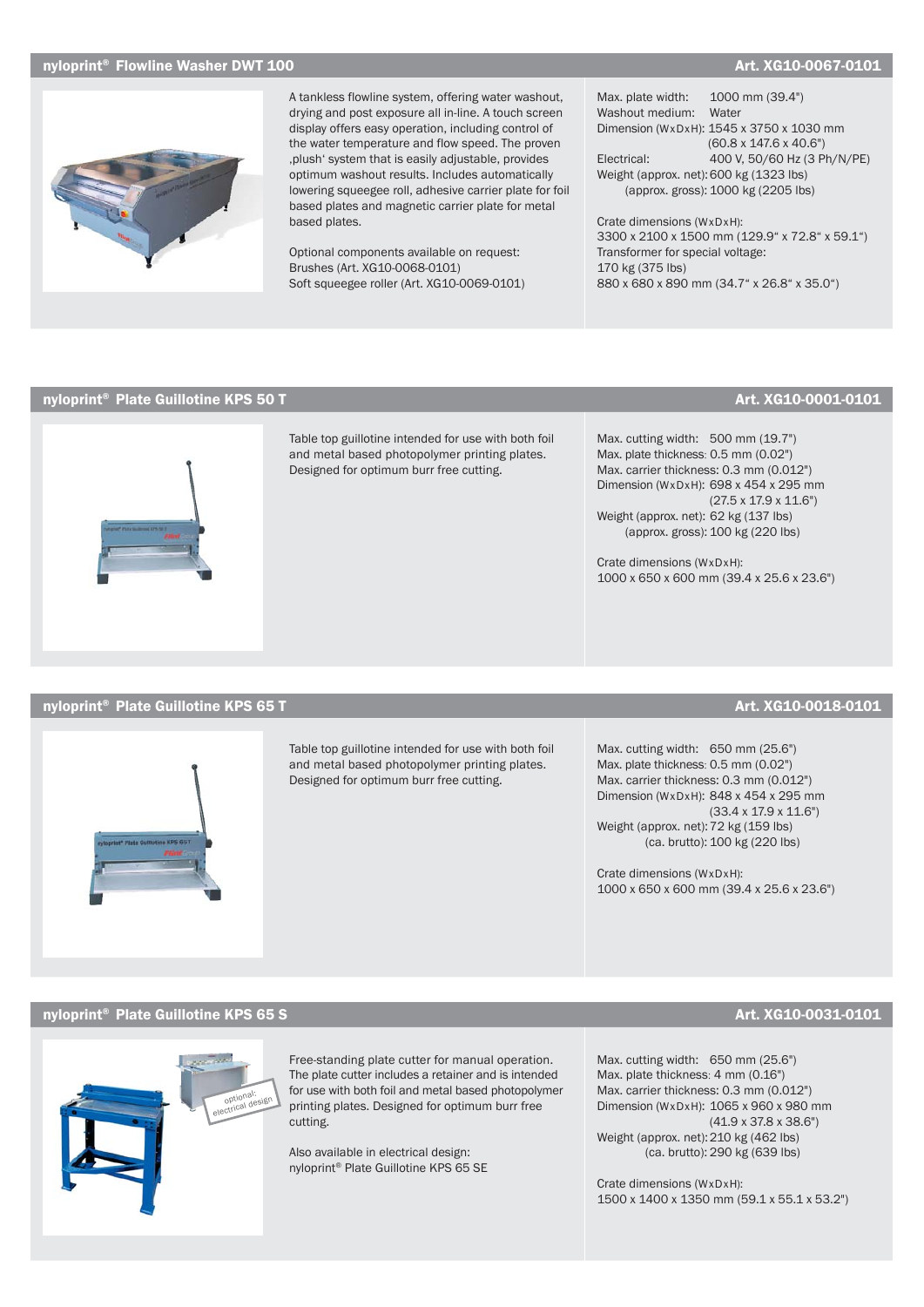### $\blacksquare$ nyloprint® Flowline Washer DWT 100  $\blacksquare$  Art. XG10-0067-0101



A tankless flowline system, offering water washout, drying and post exposure all in-line. A touch screen display offers easy operation, including control of the water temperature and flow speed. The proven , plush' system that is easily adjustable, provides optimum washout results. Includes automatically lowering squeegee roll, adhesive carrier plate for foil based plates and magnetic carrier plate for metal based plates.

Optional components available on request: Brushes (Art. XG10-0068-0101) Soft squeegee roller (Art. XG10-0069-0101) Max. plate width: 1000 mm (39.4") Washout medium: Water Dimension (WxDxH): 1545 x 3750 x 1030 mm (60.8 x 147.6 x 40.6") Electrical: 400 V, 50/60 Hz (3 Ph/N/PE) Weight (approx. net): 600 kg (1323 lbs) (approx. gross): 1000 kg (2205 lbs)

Crate dimensions (WxDxH): 3300 x 2100 x 1500 mm (129.9" x 72.8" x 59.1") Transformer for special voltage: 170 kg (375 lbs) 880 x 680 x 890 mm (34.7" x 26.8" x 35.0")

# nyloprint® Plate Guillotine KPS 50 T Art. XG10-0001-0101



Table top guillotine intended for use with both foil and metal based photopolymer printing plates. Designed for optimum burr free cutting.

Max. cutting width: 500 mm (19.7") Max. plate thickness: 0.5 mm (0.02") Max. carrier thickness: 0.3 mm (0.012") Dimension (WxDxH): 698 x 454 x 295 mm (27.5 x 17.9 x 11.6") Weight (approx. net): 62 kg (137 lbs) (approx. gross): 100 kg (220 lbs)

Crate dimensions (WxDxH): 1000 x 650 x 600 mm (39.4 x 25.6 x 23.6")

### nyloprint® Plate Guillotine KPS 65 T Art. XG10-0018-0101 Art. XG10-0018-0101



Table top guillotine intended for use with both foil and metal based photopolymer printing plates. Designed for optimum burr free cutting.

Max. cutting width: 650 mm (25.6") Max. plate thickness: 0.5 mm (0.02") Max. carrier thickness: 0.3 mm (0.012") Dimension (WxDxH): 848 x 454 x 295 mm (33.4 x 17.9 x 11.6") Weight (approx. net): 72 kg (159 lbs) (ca. brutto): 100 kg (220 lbs)

Crate dimensions (WxDxH): 1000 x 650 x 600 mm (39.4 x 25.6 x 23.6")

# nyloprint® Plate Guillotine KPS 65 S Art. XG10-0031-0101



Free-standing plate cutter for manual operation. The plate cutter includes a retainer and is intended for use with both foil and metal based photopolymer printing plates. Designed for optimum burr free cutting.

Also available in electrical design: nyloprint® Plate Guillotine KPS 65 SE Max. cutting width: 650 mm (25.6") Max. plate thickness: 4 mm (0.16") Max. carrier thickness: 0.3 mm (0.012") Dimension (WxDxH): 1065 x 960 x 980 mm (41.9 x 37.8 x 38.6") Weight (approx. net): 210 kg (462 lbs) (ca. brutto): 290 kg (639 lbs)

Crate dimensions (WxDxH): 1500 x 1400 x 1350 mm (59.1 x 55.1 x 53.2")